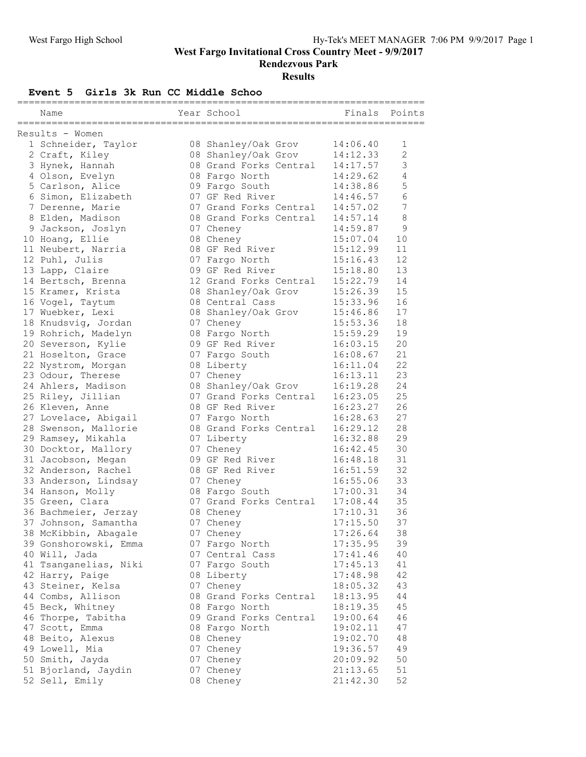**West Fargo Invitational Cross Country Meet - 9/9/2017**

**Rendezvous Park**

**Results**

## **Event 5 Girls 3k Run CC Middle Schoo**

|  | Name                  |  | Year School            | Finals   | Points         |  |  |  |  |  |
|--|-----------------------|--|------------------------|----------|----------------|--|--|--|--|--|
|  | Results - Women       |  |                        |          |                |  |  |  |  |  |
|  | 1 Schneider, Taylor   |  | 08 Shanley/Oak Grov    | 14:06.40 | 1              |  |  |  |  |  |
|  | 2 Craft, Kiley        |  | 08 Shanley/Oak Grov    | 14:12.33 | $\overline{c}$ |  |  |  |  |  |
|  | 3 Hynek, Hannah       |  | 08 Grand Forks Central | 14:17.57 | 3              |  |  |  |  |  |
|  | 4 Olson, Evelyn       |  | 08 Fargo North         | 14:29.62 | $\overline{4}$ |  |  |  |  |  |
|  | 5 Carlson, Alice      |  | 09 Fargo South         | 14:38.86 | 5              |  |  |  |  |  |
|  | 6 Simon, Elizabeth    |  | 07 GF Red River        | 14:46.57 | 6              |  |  |  |  |  |
|  |                       |  | 07 Grand Forks Central |          | 7              |  |  |  |  |  |
|  | 7 Derenne, Marie      |  | 08 Grand Forks Central | 14:57.02 | $\,8\,$        |  |  |  |  |  |
|  | 8 Elden, Madison      |  |                        | 14:57.14 |                |  |  |  |  |  |
|  | 9 Jackson, Joslyn     |  | 07 Cheney              | 14:59.87 | $\mathsf 9$    |  |  |  |  |  |
|  | 10 Hoang, Ellie       |  | 08 Cheney              | 15:07.04 | 10             |  |  |  |  |  |
|  | 11 Neubert, Narria    |  | 08 GF Red River        | 15:12.99 | 11             |  |  |  |  |  |
|  | 12 Puhl, Julis        |  | 07 Fargo North         | 15:16.43 | 12             |  |  |  |  |  |
|  | 13 Lapp, Claire       |  | 09 GF Red River        | 15:18.80 | 13             |  |  |  |  |  |
|  | 14 Bertsch, Brenna    |  | 12 Grand Forks Central | 15:22.79 | 14             |  |  |  |  |  |
|  | 15 Kramer, Krista     |  | 08 Shanley/Oak Grov    | 15:26.39 | 15             |  |  |  |  |  |
|  | 16 Vogel, Taytum      |  | 08 Central Cass        | 15:33.96 | 16             |  |  |  |  |  |
|  | 17 Wuebker, Lexi      |  | 08 Shanley/Oak Grov    | 15:46.86 | 17             |  |  |  |  |  |
|  | 18 Knudsvig, Jordan   |  | 07 Cheney              | 15:53.36 | 18             |  |  |  |  |  |
|  | 19 Rohrich, Madelyn   |  | 08 Fargo North         | 15:59.29 | 19             |  |  |  |  |  |
|  | 20 Severson, Kylie    |  | 09 GF Red River        | 16:03.15 | 20             |  |  |  |  |  |
|  | 21 Hoselton, Grace    |  | 07 Fargo South         | 16:08.67 | 21             |  |  |  |  |  |
|  | 22 Nystrom, Morgan    |  | 08 Liberty             | 16:11.04 | 22             |  |  |  |  |  |
|  | 23 Odour, Therese     |  | 07 Cheney              | 16:13.11 | 23             |  |  |  |  |  |
|  | 24 Ahlers, Madison    |  | 08 Shanley/Oak Grov    | 16:19.28 | 24             |  |  |  |  |  |
|  | 25 Riley, Jillian     |  | 07 Grand Forks Central | 16:23.05 | 25             |  |  |  |  |  |
|  | 26 Kleven, Anne       |  | 08 GF Red River        | 16:23.27 | 26             |  |  |  |  |  |
|  | 27 Lovelace, Abigail  |  | 07 Fargo North         | 16:28.63 | 27             |  |  |  |  |  |
|  | 28 Swenson, Mallorie  |  | 08 Grand Forks Central | 16:29.12 | 28             |  |  |  |  |  |
|  | 29 Ramsey, Mikahla    |  | 07 Liberty             | 16:32.88 | 29             |  |  |  |  |  |
|  | 30 Docktor, Mallory   |  | 07 Cheney              | 16:42.45 | 30             |  |  |  |  |  |
|  | 31 Jacobson, Megan    |  | 09 GF Red River        | 16:48.18 | 31             |  |  |  |  |  |
|  | 32 Anderson, Rachel   |  | 08 GF Red River        | 16:51.59 | 32             |  |  |  |  |  |
|  | 33 Anderson, Lindsay  |  | 07 Cheney              | 16:55.06 | 33             |  |  |  |  |  |
|  | 34 Hanson, Molly      |  | 08 Fargo South         | 17:00.31 | 34             |  |  |  |  |  |
|  | 35 Green, Clara       |  | 07 Grand Forks Central | 17:08.44 | 35             |  |  |  |  |  |
|  | 36 Bachmeier, Jerzay  |  | 08 Cheney              | 17:10.31 | 36             |  |  |  |  |  |
|  | 37 Johnson, Samantha  |  | 07 Cheney              | 17:15.50 | 37             |  |  |  |  |  |
|  | 38 McKibbin, Abagale  |  | 07 Cheney              | 17:26.64 | 38             |  |  |  |  |  |
|  | 39 Gonshorowski, Emma |  | 07 Fargo North         | 17:35.95 | 39             |  |  |  |  |  |
|  | 40 Will, Jada         |  | 07 Central Cass        | 17:41.46 | 40             |  |  |  |  |  |
|  | 41 Tsanganelias, Niki |  | 07 Fargo South         | 17:45.13 | 41             |  |  |  |  |  |
|  | 42 Harry, Paige       |  | 08 Liberty             | 17:48.98 | 42             |  |  |  |  |  |
|  | 43 Steiner, Kelsa     |  | 07 Cheney              | 18:05.32 | 43             |  |  |  |  |  |
|  | 44 Combs, Allison     |  | 08 Grand Forks Central | 18:13.95 | 44             |  |  |  |  |  |
|  |                       |  |                        | 18:19.35 |                |  |  |  |  |  |
|  | 45 Beck, Whitney      |  | 08 Fargo North         |          | 45             |  |  |  |  |  |
|  | 46 Thorpe, Tabitha    |  | 09 Grand Forks Central | 19:00.64 | 46             |  |  |  |  |  |
|  | 47 Scott, Emma        |  | 08 Fargo North         | 19:02.11 | 47             |  |  |  |  |  |
|  | 48 Beito, Alexus      |  | 08 Cheney              | 19:02.70 | 48             |  |  |  |  |  |
|  | 49 Lowell, Mia        |  | 07 Cheney              | 19:36.57 | 49             |  |  |  |  |  |
|  | 50 Smith, Jayda       |  | 07 Cheney              | 20:09.92 | 50             |  |  |  |  |  |
|  | 51 Bjorland, Jaydin   |  | 07 Cheney              | 21:13.65 | 51             |  |  |  |  |  |
|  | 52 Sell, Emily        |  | 08 Cheney              | 21:42.30 | 52             |  |  |  |  |  |